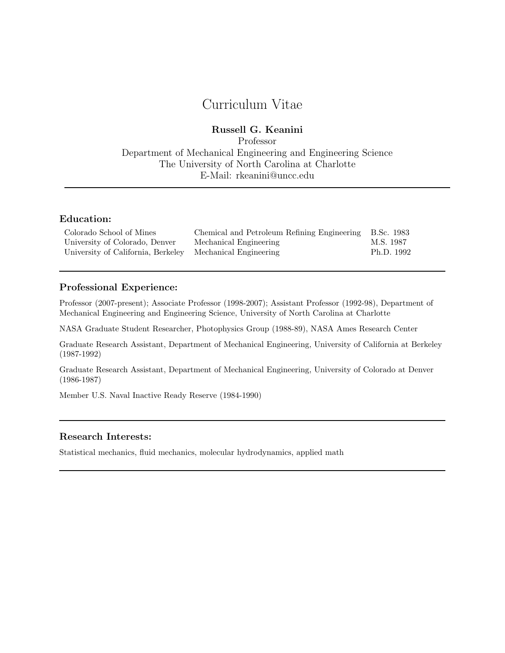# Curriculum Vitae

# Russell G. Keanini

Professor Department of Mechanical Engineering and Engineering Science The University of North Carolina at Charlotte E-Mail: rkeanini@uncc.edu

# Education:

| Colorado School of Mines                                  | Chemical and Petroleum Refining Engineering B.Sc. 1983 |            |
|-----------------------------------------------------------|--------------------------------------------------------|------------|
| University of Colorado, Denver                            | Mechanical Engineering                                 | M.S. 1987  |
| University of California, Berkeley Mechanical Engineering |                                                        | Ph.D. 1992 |

# Professional Experience:

Professor (2007-present); Associate Professor (1998-2007); Assistant Professor (1992-98), Department of Mechanical Engineering and Engineering Science, University of North Carolina at Charlotte

NASA Graduate Student Researcher, Photophysics Group (1988-89), NASA Ames Research Center

Graduate Research Assistant, Department of Mechanical Engineering, University of California at Berkeley (1987-1992)

Graduate Research Assistant, Department of Mechanical Engineering, University of Colorado at Denver (1986-1987)

Member U.S. Naval Inactive Ready Reserve (1984-1990)

#### Research Interests:

Statistical mechanics, fluid mechanics, molecular hydrodynamics, applied math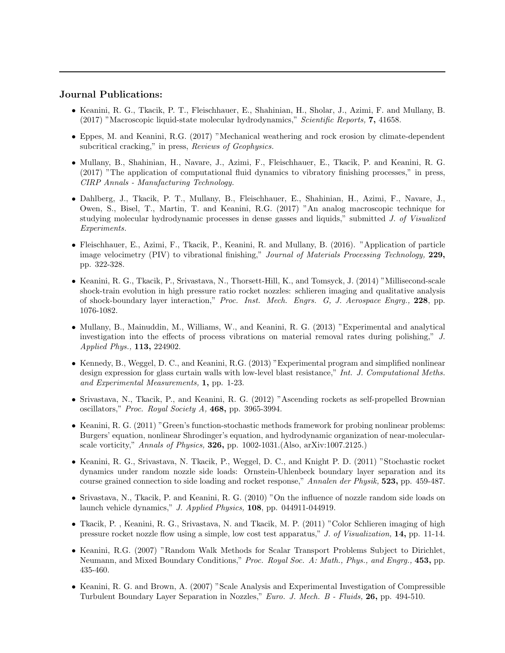## Journal Publications:

- Keanini, R. G., Tkacik, P. T., Fleischhauer, E., Shahinian, H., Sholar, J., Azimi, F. and Mullany, B. (2017) "Macroscopic liquid-state molecular hydrodynamics," Scientific Reports, 7, 41658.
- Eppes, M. and Keanini, R.G. (2017) "Mechanical weathering and rock erosion by climate-dependent subcritical cracking," in press, Reviews of Geophysics.
- Mullany, B., Shahinian, H., Navare, J., Azimi, F., Fleischhauer, E., Tkacik, P. and Keanini, R. G. (2017) "The application of computational fluid dynamics to vibratory finishing processes," in press, CIRP Annals - Manufacturing Technology.
- Dahlberg, J., Tkacik, P. T., Mullany, B., Fleischhauer, E., Shahinian, H., Azimi, F., Navare, J., Owen, S., Bisel, T., Martin, T. and Keanini, R.G. (2017) "An analog macroscopic technique for studying molecular hydrodynamic processes in dense gasses and liquids," submitted J. of Visualized Experiments.
- Fleischhauer, E., Azimi, F., Tkacik, P., Keanini, R. and Mullany, B. (2016). "Application of particle image velocimetry (PIV) to vibrational finishing," Journal of Materials Processing Technology, 229, pp. 322-328.
- Keanini, R. G., Tkacik, P., Srivastava, N., Thorsett-Hill, K., and Tomsyck, J. (2014) "Millisecond-scale shock-train evolution in high pressure ratio rocket nozzles: schlieren imaging and qualitative analysis of shock-boundary layer interaction," Proc. Inst. Mech. Engrs. G, J. Aerospace Engrg., 228, pp. 1076-1082.
- Mullany, B., Mainuddin, M., Williams, W., and Keanini, R. G. (2013) "Experimental and analytical investigation into the effects of process vibrations on material removal rates during polishing," J. Applied Phys., 113, 224902.
- Kennedy, B., Weggel, D. C., and Keanini, R.G. (2013) "Experimental program and simplified nonlinear design expression for glass curtain walls with low-level blast resistance," Int. J. Computational Meths. and Experimental Measurements, 1, pp. 1-23.
- Srivastava, N., Tkacik, P., and Keanini, R. G. (2012) "Ascending rockets as self-propelled Brownian oscillators," Proc. Royal Society A, 468, pp. 3965-3994.
- Keanini, R. G. (2011) "Green's function-stochastic methods framework for probing nonlinear problems: Burgers' equation, nonlinear Shrodinger's equation, and hydrodynamic organization of near-molecularscale vorticity," Annals of Physics, 326, pp. 1002-1031.(Also, arXiv:1007.2125.)
- Keanini, R. G., Srivastava, N. Tkacik, P., Weggel, D. C., and Knight P. D. (2011) "Stochastic rocket dynamics under random nozzle side loads: Ornstein-Uhlenbeck boundary layer separation and its course grained connection to side loading and rocket response," Annalen der Physik, 523, pp. 459-487.
- Srivastava, N., Tkacik, P. and Keanini, R. G. (2010) "On the influence of nozzle random side loads on launch vehicle dynamics," J. Applied Physics, 108, pp. 044911-044919.
- Tkacik, P. , Keanini, R. G., Srivastava, N. and Tkacik, M. P. (2011) "Color Schlieren imaging of high pressure rocket nozzle flow using a simple, low cost test apparatus," J. of Visualization, 14, pp. 11-14.
- Keanini, R.G. (2007) "Random Walk Methods for Scalar Transport Problems Subject to Dirichlet, Neumann, and Mixed Boundary Conditions," Proc. Royal Soc. A: Math., Phys., and Engrg., 453, pp. 435-460.
- Keanini, R. G. and Brown, A. (2007) "Scale Analysis and Experimental Investigation of Compressible Turbulent Boundary Layer Separation in Nozzles," Euro. J. Mech. B - Fluids, 26, pp. 494-510.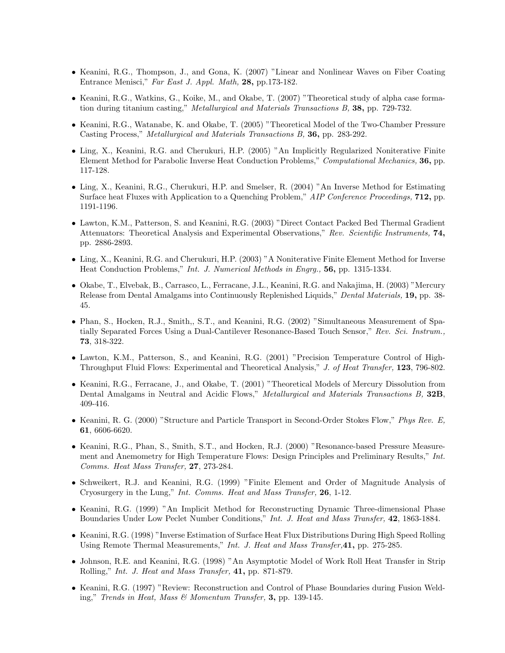- Keanini, R.G., Thompson, J., and Gona, K. (2007) "Linear and Nonlinear Waves on Fiber Coating Entrance Menisci," Far East J. Appl. Math, 28, pp.173-182.
- Keanini, R.G., Watkins, G., Koike, M., and Okabe, T. (2007) "Theoretical study of alpha case formation during titanium casting," Metallurgical and Materials Transactions B, 38, pp. 729-732.
- Keanini, R.G., Watanabe, K. and Okabe, T. (2005) "Theoretical Model of the Two-Chamber Pressure Casting Process," Metallurgical and Materials Transactions B, 36, pp. 283-292.
- Ling, X., Keanini, R.G. and Cherukuri, H.P. (2005) "An Implicitly Regularized Noniterative Finite Element Method for Parabolic Inverse Heat Conduction Problems," Computational Mechanics, 36, pp. 117-128.
- Ling, X., Keanini, R.G., Cherukuri, H.P. and Smelser, R. (2004) "An Inverse Method for Estimating Surface heat Fluxes with Application to a Quenching Problem," AIP Conference Proceedings, 712, pp. 1191-1196.
- Lawton, K.M., Patterson, S. and Keanini, R.G. (2003) "Direct Contact Packed Bed Thermal Gradient Attenuators: Theoretical Analysis and Experimental Observations," Rev. Scientific Instruments, 74, pp. 2886-2893.
- Ling, X., Keanini, R.G. and Cherukuri, H.P. (2003) "A Noniterative Finite Element Method for Inverse Heat Conduction Problems," Int. J. Numerical Methods in Engrg., 56, pp. 1315-1334.
- Okabe, T., Elvebak, B., Carrasco, L., Ferracane, J.L., Keanini, R.G. and Nakajima, H. (2003) "Mercury Release from Dental Amalgams into Continuously Replenished Liquids," Dental Materials, 19, pp. 38- 45.
- Phan, S., Hocken, R.J., Smith,, S.T., and Keanini, R.G. (2002) "Simultaneous Measurement of Spatially Separated Forces Using a Dual-Cantilever Resonance-Based Touch Sensor," Rev. Sci. Instrum., 73, 318-322.
- Lawton, K.M., Patterson, S., and Keanini, R.G. (2001) "Precision Temperature Control of High-Throughput Fluid Flows: Experimental and Theoretical Analysis," J. of Heat Transfer, 123, 796-802.
- Keanini, R.G., Ferracane, J., and Okabe, T. (2001) "Theoretical Models of Mercury Dissolution from Dental Amalgams in Neutral and Acidic Flows," *Metallurgical and Materials Transactions B*, 32B, 409-416.
- Keanini, R. G. (2000) "Structure and Particle Transport in Second-Order Stokes Flow," Phys Rev. E, 61, 6606-6620.
- Keanini, R.G., Phan, S., Smith, S.T., and Hocken, R.J. (2000) "Resonance-based Pressure Measurement and Anemometry for High Temperature Flows: Design Principles and Preliminary Results," Int. Comms. Heat Mass Transfer, 27, 273-284.
- Schweikert, R.J. and Keanini, R.G. (1999) "Finite Element and Order of Magnitude Analysis of Cryosurgery in the Lung," Int. Comms. Heat and Mass Transfer, 26, 1-12.
- Keanini, R.G. (1999) "An Implicit Method for Reconstructing Dynamic Three-dimensional Phase Boundaries Under Low Peclet Number Conditions," Int. J. Heat and Mass Transfer, 42, 1863-1884.
- Keanini, R.G. (1998) "Inverse Estimation of Surface Heat Flux Distributions During High Speed Rolling Using Remote Thermal Measurements," Int. J. Heat and Mass Transfer,41, pp. 275-285.
- Johnson, R.E. and Keanini, R.G. (1998) "An Asymptotic Model of Work Roll Heat Transfer in Strip Rolling," Int. J. Heat and Mass Transfer, 41, pp. 871-879.
- Keanini, R.G. (1997) "Review: Reconstruction and Control of Phase Boundaries during Fusion Welding," Trends in Heat, Mass & Momentum Transfer, 3, pp. 139-145.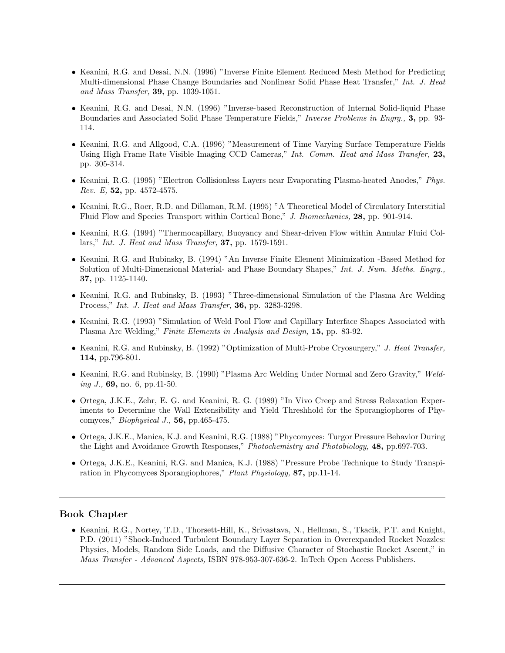- Keanini, R.G. and Desai, N.N. (1996) "Inverse Finite Element Reduced Mesh Method for Predicting Multi-dimensional Phase Change Boundaries and Nonlinear Solid Phase Heat Transfer," Int. J. Heat and Mass Transfer, 39, pp. 1039-1051.
- Keanini, R.G. and Desai, N.N. (1996) "Inverse-based Reconstruction of Internal Solid-liquid Phase Boundaries and Associated Solid Phase Temperature Fields," Inverse Problems in Engrg., 3, pp. 93- 114.
- Keanini, R.G. and Allgood, C.A. (1996) "Measurement of Time Varying Surface Temperature Fields Using High Frame Rate Visible Imaging CCD Cameras," Int. Comm. Heat and Mass Transfer, 23, pp. 305-314.
- Keanini, R.G. (1995) "Electron Collisionless Layers near Evaporating Plasma-heated Anodes," Phys. Rev. E, 52, pp. 4572-4575.
- Keanini, R.G., Roer, R.D. and Dillaman, R.M. (1995) "A Theoretical Model of Circulatory Interstitial Fluid Flow and Species Transport within Cortical Bone," J. Biomechanics, 28, pp. 901-914.
- Keanini, R.G. (1994) "Thermocapillary, Buoyancy and Shear-driven Flow within Annular Fluid Collars," Int. J. Heat and Mass Transfer, 37, pp. 1579-1591.
- Keanini, R.G. and Rubinsky, B. (1994) "An Inverse Finite Element Minimization -Based Method for Solution of Multi-Dimensional Material- and Phase Boundary Shapes," Int. J. Num. Meths. Engry., 37, pp. 1125-1140.
- Keanini, R.G. and Rubinsky, B. (1993) "Three-dimensional Simulation of the Plasma Arc Welding Process," Int. J. Heat and Mass Transfer, 36, pp. 3283-3298.
- Keanini, R.G. (1993) "Simulation of Weld Pool Flow and Capillary Interface Shapes Associated with Plasma Arc Welding," Finite Elements in Analysis and Design, 15, pp. 83-92.
- Keanini, R.G. and Rubinsky, B. (1992) "Optimization of Multi-Probe Cryosurgery," J. Heat Transfer, 114, pp.796-801.
- Keanini, R.G. and Rubinsky, B. (1990) "Plasma Arc Welding Under Normal and Zero Gravity," Welding J.,  $69$ , no. 6, pp. 41-50.
- Ortega, J.K.E., Zehr, E. G. and Keanini, R. G. (1989) "In Vivo Creep and Stress Relaxation Experiments to Determine the Wall Extensibility and Yield Threshhold for the Sporangiophores of Phycomyces," Biophysical J., 56, pp.465-475.
- Ortega, J.K.E., Manica, K.J. and Keanini, R.G. (1988) "Phycomyces: Turgor Pressure Behavior During the Light and Avoidance Growth Responses," Photochemistry and Photobiology, 48, pp.697-703.
- Ortega, J.K.E., Keanini, R.G. and Manica, K.J. (1988) "Pressure Probe Technique to Study Transpiration in Phycomyces Sporangiophores," Plant Physiology, 87, pp.11-14.

## Book Chapter

• Keanini, R.G., Nortey, T.D., Thorsett-Hill, K., Srivastava, N., Hellman, S., Tkacik, P.T. and Knight, P.D. (2011) "Shock-Induced Turbulent Boundary Layer Separation in Overexpanded Rocket Nozzles: Physics, Models, Random Side Loads, and the Diffusive Character of Stochastic Rocket Ascent," in Mass Transfer - Advanced Aspects, ISBN 978-953-307-636-2. InTech Open Access Publishers.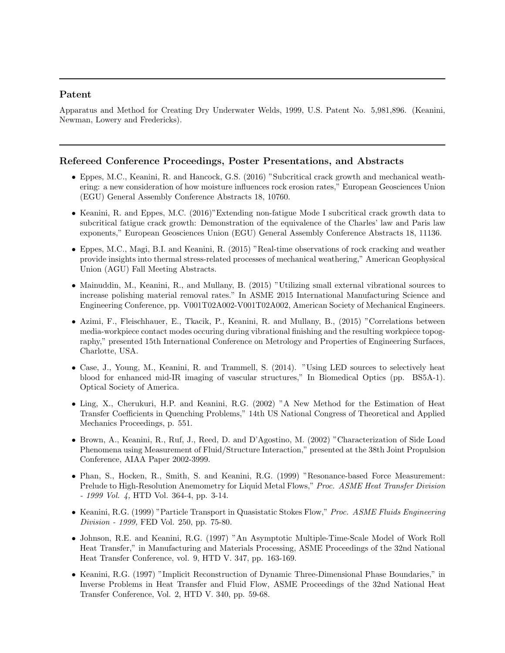## Patent

Apparatus and Method for Creating Dry Underwater Welds, 1999, U.S. Patent No. 5,981,896. (Keanini, Newman, Lowery and Fredericks).

#### Refereed Conference Proceedings, Poster Presentations, and Abstracts

- Eppes, M.C., Keanini, R. and Hancock, G.S. (2016) "Subcritical crack growth and mechanical weathering: a new consideration of how moisture influences rock erosion rates," European Geosciences Union (EGU) General Assembly Conference Abstracts 18, 10760.
- Keanini, R. and Eppes, M.C. (2016)"Extending non-fatigue Mode I subcritical crack growth data to subcritical fatigue crack growth: Demonstration of the equivalence of the Charles' law and Paris law exponents," European Geosciences Union (EGU) General Assembly Conference Abstracts 18, 11136.
- Eppes, M.C., Magi, B.I. and Keanini, R. (2015) "Real-time observations of rock cracking and weather provide insights into thermal stress-related processes of mechanical weathering," American Geophysical Union (AGU) Fall Meeting Abstracts.
- Mainuddin, M., Keanini, R., and Mullany, B. (2015) "Utilizing small external vibrational sources to increase polishing material removal rates." In ASME 2015 International Manufacturing Science and Engineering Conference, pp. V001T02A002-V001T02A002, American Society of Mechanical Engineers.
- Azimi, F., Fleischhauer, E., Tkacik, P., Keanini, R. and Mullany, B., (2015) "Correlations between media-workpiece contact modes occuring during vibrational finishing and the resulting workpiece topography," presented 15th International Conference on Metrology and Properties of Engineering Surfaces, Charlotte, USA.
- Case, J., Young, M., Keanini, R. and Trammell, S. (2014). "Using LED sources to selectively heat blood for enhanced mid-IR imaging of vascular structures," In Biomedical Optics (pp. BS5A-1). Optical Society of America.
- Ling, X., Cherukuri, H.P. and Keanini, R.G. (2002) "A New Method for the Estimation of Heat Transfer Coefficients in Quenching Problems," 14th US National Congress of Theoretical and Applied Mechanics Proceedings, p. 551.
- Brown, A., Keanini, R., Ruf, J., Reed, D. and D'Agostino, M. (2002) "Characterization of Side Load Phenomena using Measurement of Fluid/Structure Interaction," presented at the 38th Joint Propulsion Conference, AIAA Paper 2002-3999.
- Phan, S., Hocken, R., Smith, S. and Keanini, R.G. (1999) "Resonance-based Force Measurement: Prelude to High-Resolution Anemometry for Liquid Metal Flows," Proc. ASME Heat Transfer Division - 1999 Vol. 4, HTD Vol. 364-4, pp. 3-14.
- Keanini, R.G. (1999) "Particle Transport in Quasistatic Stokes Flow," Proc. ASME Fluids Engineering Division - 1999, FED Vol. 250, pp. 75-80.
- Johnson, R.E. and Keanini, R.G. (1997) "An Asymptotic Multiple-Time-Scale Model of Work Roll Heat Transfer," in Manufacturing and Materials Processing, ASME Proceedings of the 32nd National Heat Transfer Conference, vol. 9, HTD V. 347, pp. 163-169.
- Keanini, R.G. (1997) "Implicit Reconstruction of Dynamic Three-Dimensional Phase Boundaries," in Inverse Problems in Heat Transfer and Fluid Flow, ASME Proceedings of the 32nd National Heat Transfer Conference, Vol. 2, HTD V. 340, pp. 59-68.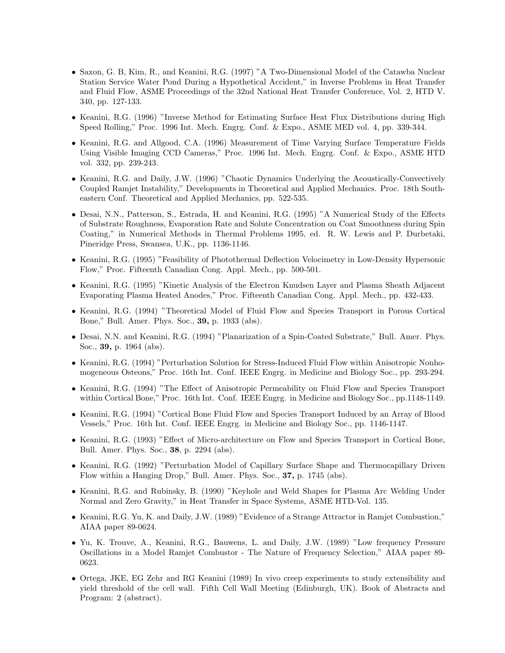- Saxon, G. B, Kim, R., and Keanini, R.G. (1997) "A Two-Dimensional Model of the Catawba Nuclear Station Service Water Pond During a Hypothetical Accident," in Inverse Problems in Heat Transfer and Fluid Flow, ASME Proceedings of the 32nd National Heat Transfer Conference, Vol. 2, HTD V. 340, pp. 127-133.
- Keanini, R.G. (1996) "Inverse Method for Estimating Surface Heat Flux Distributions during High Speed Rolling," Proc. 1996 Int. Mech. Engrg. Conf. & Expo., ASME MED vol. 4, pp. 339-344.
- Keanini, R.G. and Allgood, C.A. (1996) Measurement of Time Varying Surface Temperature Fields Using Visible Imaging CCD Cameras," Proc. 1996 Int. Mech. Engrg. Conf. & Expo., ASME HTD vol. 332, pp. 239-243.
- Keanini, R.G. and Daily, J.W. (1996) "Chaotic Dynamics Underlying the Acoustically-Convectively Coupled Ramjet Instability," Developments in Theoretical and Applied Mechanics. Proc. 18th Southeastern Conf. Theoretical and Applied Mechanics, pp. 522-535.
- Desai, N.N., Patterson, S., Estrada, H. and Keanini, R.G. (1995) "A Numerical Study of the Effects of Substrate Roughness, Evaporation Rate and Solute Concentration on Coat Smoothness during Spin Coating," in Numerical Methods in Thermal Problems 1995, ed. R. W. Lewis and P. Durbetaki, Pineridge Press, Swansea, U.K., pp. 1136-1146.
- Keanini, R.G. (1995) "Feasibility of Photothermal Deflection Velocimetry in Low-Density Hypersonic Flow," Proc. Fifteenth Canadian Cong. Appl. Mech., pp. 500-501.
- Keanini, R.G. (1995) "Kinetic Analysis of the Electron Knudsen Layer and Plasma Sheath Adjacent Evaporating Plasma Heated Anodes," Proc. Fifteenth Canadian Cong. Appl. Mech., pp. 432-433.
- Keanini, R.G. (1994) "Theoretical Model of Fluid Flow and Species Transport in Porous Cortical Bone," Bull. Amer. Phys. Soc., 39, p. 1933 (abs).
- Desai, N.N. and Keanini, R.G. (1994) "Planarization of a Spin-Coated Substrate," Bull. Amer. Phys. Soc., 39, p. 1964 (abs).
- Keanini, R.G. (1994) "Perturbation Solution for Stress-Induced Fluid Flow within Anisotropic Nonhomogeneous Osteons," Proc. 16th Int. Conf. IEEE Engrg. in Medicine and Biology Soc., pp. 293-294.
- Keanini, R.G. (1994) "The Effect of Anisotropic Permeability on Fluid Flow and Species Transport within Cortical Bone," Proc. 16th Int. Conf. IEEE Engrg. in Medicine and Biology Soc., pp.1148-1149.
- Keanini, R.G. (1994) "Cortical Bone Fluid Flow and Species Transport Induced by an Array of Blood Vessels," Proc. 16th Int. Conf. IEEE Engrg. in Medicine and Biology Soc., pp. 1146-1147.
- Keanini, R.G. (1993) "Effect of Micro-architecture on Flow and Species Transport in Cortical Bone, Bull. Amer. Phys. Soc., 38, p. 2294 (abs).
- Keanini, R.G. (1992) "Perturbation Model of Capillary Surface Shape and Thermocapillary Driven Flow within a Hanging Drop," Bull. Amer. Phys. Soc., 37, p. 1745 (abs).
- Keanini, R.G. and Rubinsky, B. (1990) "Keyhole and Weld Shapes for Plasma Arc Welding Under Normal and Zero Gravity," in Heat Transfer in Space Systems, ASME HTD-Vol. 135.
- Keanini, R.G. Yu, K. and Daily, J.W. (1989) "Evidence of a Strange Attractor in Ramjet Combustion," AIAA paper 89-0624.
- Yu, K. Trouve, A., Keanini, R.G., Bauwens, L. and Daily, J.W. (1989) "Low frequency Pressure Oscillations in a Model Ramjet Combustor - The Nature of Frequency Selection," AIAA paper 89- 0623.
- Ortega, JKE, EG Zehr and RG Keanini (1989) In vivo creep experiments to study extensibility and yield threshold of the cell wall. Fifth Cell Wall Meeting (Edinburgh, UK). Book of Abstracts and Program: 2 (abstract).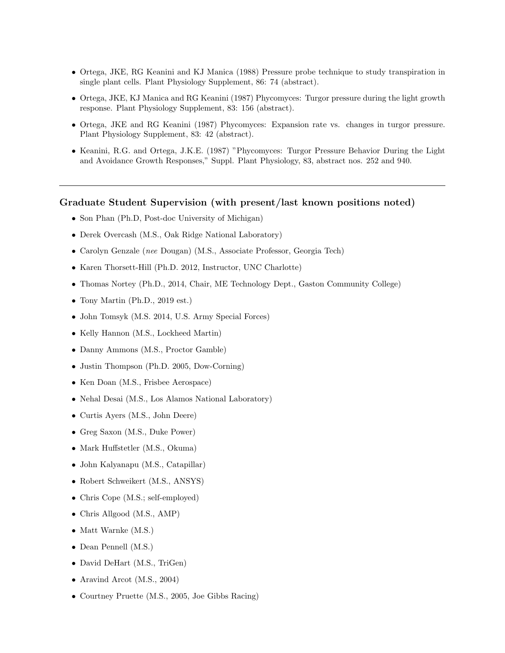- Ortega, JKE, RG Keanini and KJ Manica (1988) Pressure probe technique to study transpiration in single plant cells. Plant Physiology Supplement, 86: 74 (abstract).
- Ortega, JKE, KJ Manica and RG Keanini (1987) Phycomyces: Turgor pressure during the light growth response. Plant Physiology Supplement, 83: 156 (abstract).
- Ortega, JKE and RG Keanini (1987) Phycomyces: Expansion rate vs. changes in turgor pressure. Plant Physiology Supplement, 83: 42 (abstract).
- Keanini, R.G. and Ortega, J.K.E. (1987) "Phycomyces: Turgor Pressure Behavior During the Light and Avoidance Growth Responses," Suppl. Plant Physiology, 83, abstract nos. 252 and 940.

#### Graduate Student Supervision (with present/last known positions noted)

- Son Phan (Ph.D, Post-doc University of Michigan)
- Derek Overcash (M.S., Oak Ridge National Laboratory)
- Carolyn Genzale (nee Dougan) (M.S., Associate Professor, Georgia Tech)
- Karen Thorsett-Hill (Ph.D. 2012, Instructor, UNC Charlotte)
- Thomas Nortey (Ph.D., 2014, Chair, ME Technology Dept., Gaston Community College)
- Tony Martin (Ph.D., 2019 est.)
- John Tomsyk (M.S. 2014, U.S. Army Special Forces)
- Kelly Hannon (M.S., Lockheed Martin)
- Danny Ammons (M.S., Proctor Gamble)
- Justin Thompson (Ph.D. 2005, Dow-Corning)
- Ken Doan (M.S., Frisbee Aerospace)
- Nehal Desai (M.S., Los Alamos National Laboratory)
- Curtis Ayers (M.S., John Deere)
- Greg Saxon (M.S., Duke Power)
- Mark Huffstetler (M.S., Okuma)
- John Kalyanapu (M.S., Catapillar)
- Robert Schweikert (M.S., ANSYS)
- Chris Cope (M.S.; self-employed)
- Chris Allgood (M.S., AMP)
- Matt Warnke (M.S.)
- Dean Pennell (M.S.)
- David DeHart (M.S., TriGen)
- Aravind Arcot (M.S., 2004)
- Courtney Pruette (M.S., 2005, Joe Gibbs Racing)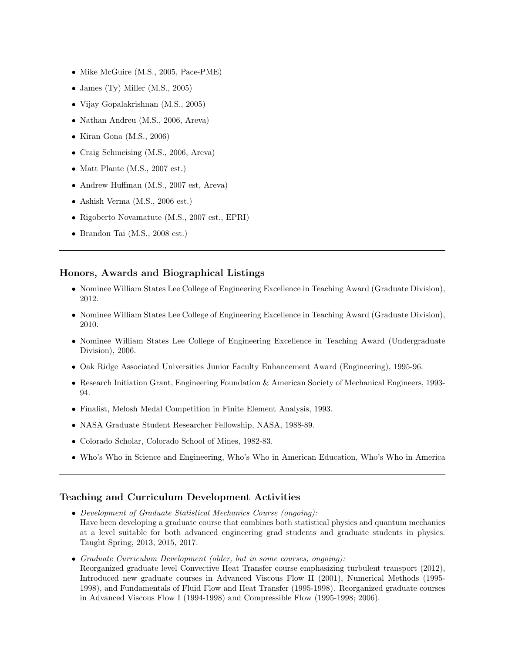- Mike McGuire (M.S., 2005, Pace-PME)
- James (Ty) Miller (M.S., 2005)
- Vijay Gopalakrishnan (M.S., 2005)
- Nathan Andreu (M.S., 2006, Areva)
- Kiran Gona (M.S., 2006)
- Craig Schmeising (M.S., 2006, Areva)
- Matt Plante (M.S., 2007 est.)
- Andrew Huffman (M.S., 2007 est, Areva)
- Ashish Verma (M.S., 2006 est.)
- Rigoberto Novamatute (M.S., 2007 est., EPRI)
- Brandon Tai (M.S., 2008 est.)

#### Honors, Awards and Biographical Listings

- Nominee William States Lee College of Engineering Excellence in Teaching Award (Graduate Division), 2012.
- Nominee William States Lee College of Engineering Excellence in Teaching Award (Graduate Division), 2010.
- Nominee William States Lee College of Engineering Excellence in Teaching Award (Undergraduate Division), 2006.
- Oak Ridge Associated Universities Junior Faculty Enhancement Award (Engineering), 1995-96.
- Research Initiation Grant, Engineering Foundation & American Society of Mechanical Engineers, 1993- 94.
- Finalist, Melosh Medal Competition in Finite Element Analysis, 1993.
- NASA Graduate Student Researcher Fellowship, NASA, 1988-89.
- Colorado Scholar, Colorado School of Mines, 1982-83.
- Who's Who in Science and Engineering, Who's Who in American Education, Who's Who in America

## Teaching and Curriculum Development Activities

- Development of Graduate Statistical Mechanics Course (ongoing): Have been developing a graduate course that combines both statistical physics and quantum mechanics at a level suitable for both advanced engineering grad students and graduate students in physics. Taught Spring, 2013, 2015, 2017.
- Graduate Curriculum Development (older, but in some courses, ongoing): Reorganized graduate level Convective Heat Transfer course emphasizing turbulent transport (2012), Introduced new graduate courses in Advanced Viscous Flow II (2001), Numerical Methods (1995- 1998), and Fundamentals of Fluid Flow and Heat Transfer (1995-1998). Reorganized graduate courses in Advanced Viscous Flow I (1994-1998) and Compressible Flow (1995-1998; 2006).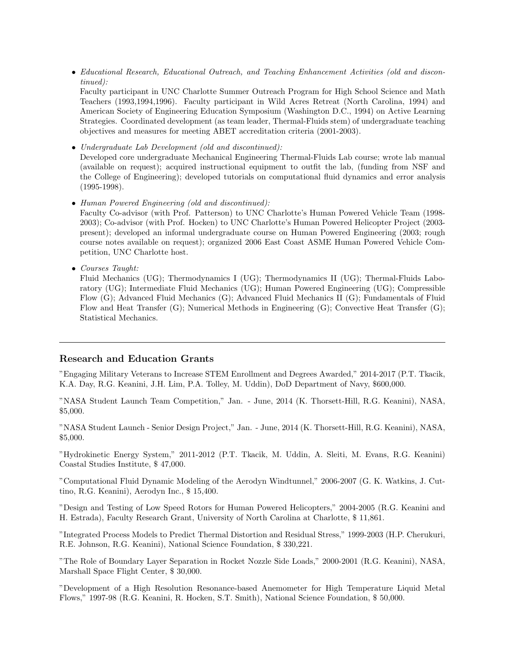• Educational Research, Educational Outreach, and Teaching Enhancement Activities (old and discontinued):

Faculty participant in UNC Charlotte Summer Outreach Program for High School Science and Math Teachers (1993,1994,1996). Faculty participant in Wild Acres Retreat (North Carolina, 1994) and American Society of Engineering Education Symposium (Washington D.C., 1994) on Active Learning Strategies. Coordinated development (as team leader, Thermal-Fluids stem) of undergraduate teaching objectives and measures for meeting ABET accreditation criteria (2001-2003).

• Undergraduate Lab Development (old and discontinued):

Developed core undergraduate Mechanical Engineering Thermal-Fluids Lab course; wrote lab manual (available on request); acquired instructional equipment to outfit the lab, (funding from NSF and the College of Engineering); developed tutorials on computational fluid dynamics and error analysis (1995-1998).

• Human Powered Engineering (old and discontinued):

Faculty Co-advisor (with Prof. Patterson) to UNC Charlotte's Human Powered Vehicle Team (1998- 2003); Co-advisor (with Prof. Hocken) to UNC Charlotte's Human Powered Helicopter Project (2003 present); developed an informal undergraduate course on Human Powered Engineering (2003; rough course notes available on request); organized 2006 East Coast ASME Human Powered Vehicle Competition, UNC Charlotte host.

• Courses Taught:

Fluid Mechanics (UG); Thermodynamics I (UG); Thermodynamics II (UG); Thermal-Fluids Laboratory (UG); Intermediate Fluid Mechanics (UG); Human Powered Engineering (UG); Compressible Flow (G); Advanced Fluid Mechanics (G); Advanced Fluid Mechanics II (G); Fundamentals of Fluid Flow and Heat Transfer (G); Numerical Methods in Engineering (G); Convective Heat Transfer (G); Statistical Mechanics.

## Research and Education Grants

"Engaging Military Veterans to Increase STEM Enrollment and Degrees Awarded," 2014-2017 (P.T. Tkacik, K.A. Day, R.G. Keanini, J.H. Lim, P.A. Tolley, M. Uddin), DoD Department of Navy, \$600,000.

"NASA Student Launch Team Competition," Jan. - June, 2014 (K. Thorsett-Hill, R.G. Keanini), NASA, \$5,000.

"NASA Student Launch - Senior Design Project," Jan. - June, 2014 (K. Thorsett-Hill, R.G. Keanini), NASA, \$5,000.

"Hydrokinetic Energy System," 2011-2012 (P.T. Tkacik, M. Uddin, A. Sleiti, M. Evans, R.G. Keanini) Coastal Studies Institute, \$ 47,000.

"Computational Fluid Dynamic Modeling of the Aerodyn Windtunnel," 2006-2007 (G. K. Watkins, J. Cuttino, R.G. Keanini), Aerodyn Inc., \$ 15,400.

"Design and Testing of Low Speed Rotors for Human Powered Helicopters," 2004-2005 (R.G. Keanini and H. Estrada), Faculty Research Grant, University of North Carolina at Charlotte, \$ 11,861.

"Integrated Process Models to Predict Thermal Distortion and Residual Stress," 1999-2003 (H.P. Cherukuri, R.E. Johnson, R.G. Keanini), National Science Foundation, \$ 330,221.

"The Role of Boundary Layer Separation in Rocket Nozzle Side Loads," 2000-2001 (R.G. Keanini), NASA, Marshall Space Flight Center, \$ 30,000.

"Development of a High Resolution Resonance-based Anemometer for High Temperature Liquid Metal Flows," 1997-98 (R.G. Keanini, R. Hocken, S.T. Smith), National Science Foundation, \$ 50,000.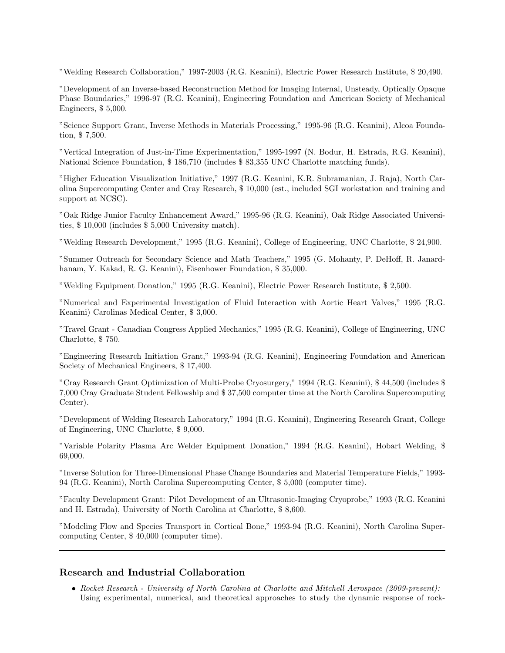"Welding Research Collaboration," 1997-2003 (R.G. Keanini), Electric Power Research Institute, \$ 20,490.

"Development of an Inverse-based Reconstruction Method for Imaging Internal, Unsteady, Optically Opaque Phase Boundaries," 1996-97 (R.G. Keanini), Engineering Foundation and American Society of Mechanical Engineers, \$ 5,000.

"Science Support Grant, Inverse Methods in Materials Processing," 1995-96 (R.G. Keanini), Alcoa Foundation, \$ 7,500.

"Vertical Integration of Just-in-Time Experimentation," 1995-1997 (N. Bodur, H. Estrada, R.G. Keanini), National Science Foundation, \$ 186,710 (includes \$ 83,355 UNC Charlotte matching funds).

"Higher Education Visualization Initiative," 1997 (R.G. Keanini, K.R. Subramanian, J. Raja), North Carolina Supercomputing Center and Cray Research, \$ 10,000 (est., included SGI workstation and training and support at NCSC).

"Oak Ridge Junior Faculty Enhancement Award," 1995-96 (R.G. Keanini), Oak Ridge Associated Universities, \$ 10,000 (includes \$ 5,000 University match).

"Welding Research Development," 1995 (R.G. Keanini), College of Engineering, UNC Charlotte, \$ 24,900.

"Summer Outreach for Secondary Science and Math Teachers," 1995 (G. Mohanty, P. DeHoff, R. Janardhanam, Y. Kakad, R. G. Keanini), Eisenhower Foundation, \$ 35,000.

"Welding Equipment Donation," 1995 (R.G. Keanini), Electric Power Research Institute, \$ 2,500.

"Numerical and Experimental Investigation of Fluid Interaction with Aortic Heart Valves," 1995 (R.G. Keanini) Carolinas Medical Center, \$ 3,000.

"Travel Grant - Canadian Congress Applied Mechanics," 1995 (R.G. Keanini), College of Engineering, UNC Charlotte, \$ 750.

"Engineering Research Initiation Grant," 1993-94 (R.G. Keanini), Engineering Foundation and American Society of Mechanical Engineers, \$ 17,400.

"Cray Research Grant Optimization of Multi-Probe Cryosurgery," 1994 (R.G. Keanini), \$ 44,500 (includes \$ 7,000 Cray Graduate Student Fellowship and \$ 37,500 computer time at the North Carolina Supercomputing Center).

"Development of Welding Research Laboratory," 1994 (R.G. Keanini), Engineering Research Grant, College of Engineering, UNC Charlotte, \$ 9,000.

"Variable Polarity Plasma Arc Welder Equipment Donation," 1994 (R.G. Keanini), Hobart Welding, \$ 69,000.

"Inverse Solution for Three-Dimensional Phase Change Boundaries and Material Temperature Fields," 1993- 94 (R.G. Keanini), North Carolina Supercomputing Center, \$ 5,000 (computer time).

"Faculty Development Grant: Pilot Development of an Ultrasonic-Imaging Cryoprobe," 1993 (R.G. Keanini and H. Estrada), University of North Carolina at Charlotte, \$ 8,600.

"Modeling Flow and Species Transport in Cortical Bone," 1993-94 (R.G. Keanini), North Carolina Supercomputing Center, \$ 40,000 (computer time).

## Research and Industrial Collaboration

• Rocket Research - University of North Carolina at Charlotte and Mitchell Aerospace (2009-present): Using experimental, numerical, and theoretical approaches to study the dynamic response of rock